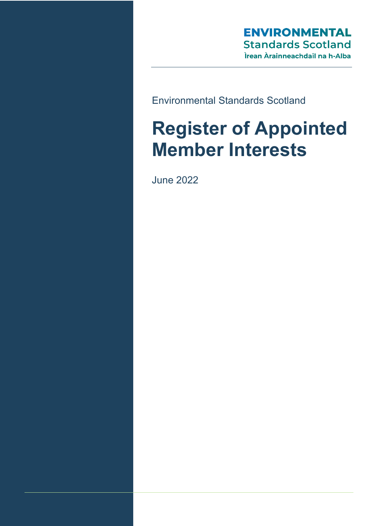# **ENVIRONMENTAL Standards Scotland** Ìrean Àrainneachdail na h-Alba

Environmental Standards Scotland

# **Register of Appointed Member Interests**

June 2022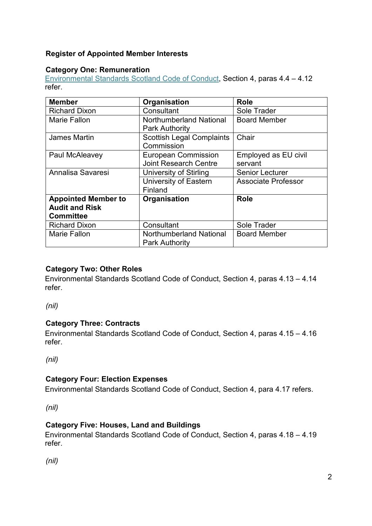## **Register of Appointed Member Interests**

#### **Category One: Remuneration**

[Environmental Standards Scotland Code of Conduct,](https://environmentalstandards.scot/wp-content/uploads/2022/06/Board-Standing-Orders-Final-20220622.pdf) Section 4, paras 4.4 – 4.12 refer.

| <b>Member</b>                                                           | Organisation                                               | <b>Role</b>                     |
|-------------------------------------------------------------------------|------------------------------------------------------------|---------------------------------|
| <b>Richard Dixon</b>                                                    | Consultant                                                 | Sole Trader                     |
| <b>Marie Fallon</b>                                                     | Northumberland National<br><b>Park Authority</b>           | <b>Board Member</b>             |
| <b>James Martin</b>                                                     | <b>Scottish Legal Complaints</b><br>Commission             | Chair                           |
| Paul McAleavey                                                          | <b>European Commission</b><br><b>Joint Research Centre</b> | Employed as EU civil<br>servant |
| Annalisa Savaresi                                                       | University of Stirling                                     | <b>Senior Lecturer</b>          |
|                                                                         | University of Eastern<br>Finland                           | <b>Associate Professor</b>      |
| <b>Appointed Member to</b><br><b>Audit and Risk</b><br><b>Committee</b> | Organisation                                               | <b>Role</b>                     |
| <b>Richard Dixon</b>                                                    | Consultant                                                 | Sole Trader                     |
| <b>Marie Fallon</b>                                                     | Northumberland National<br><b>Park Authority</b>           | <b>Board Member</b>             |

#### **Category Two: Other Roles**

Environmental Standards Scotland Code of Conduct, Section 4, paras 4.13 – 4.14 refer.

*(nil)*

#### **Category Three: Contracts**

Environmental Standards Scotland Code of Conduct, Section 4, paras 4.15 – 4.16 refer.

*(nil)*

#### **Category Four: Election Expenses**

Environmental Standards Scotland Code of Conduct, Section 4, para 4.17 refers.

*(nil)*

#### **Category Five: Houses, Land and Buildings**

Environmental Standards Scotland Code of Conduct, Section 4, paras 4.18 – 4.19 refer.

*(nil)*